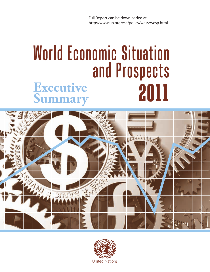Full Report can be downloaded at: http://www.un.org/esa/policy/wess/wesp.html

# World Economic Situation and Prospects **2011 Executive Summary**



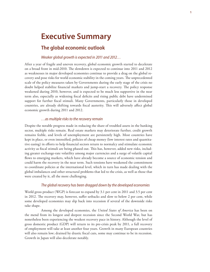# **Executive Summary**

# **The global economic outlook**

## *Weaker global growth is expected in 2011 and 2012…*

After a year of fragile and uneven recovery, global economic growth started to decelerate on a broad front in mid-2010. The slowdown is expected to continue into 2011 and 2012 as weaknesses in major developed economies continue to provide a drag on the global recovery and pose risks for world economic stability in the coming years. The unprecedented scale of the policy measures taken by Governments during the early stage of the crisis no doubt helped stabilize financial markets and jump-start a recovery. The policy response weakened during 2010, however, and is expected to be much less supportive in the near term also, especially as widening fiscal deficits and rising public debt have undermined support for further fiscal stimuli. Many Governments, particularly those in developed countries, are already shifting towards fiscal austerity. This will adversely affect global economic growth during 2011 and 2012.

#### *…as multiple risks to the recovery remain*

Despite the notable progress made in reducing the share of troubled assets in the banking sector, multiple risks remain. Real estate markets may deteriorate further, credit growth remains feeble, and levels of unemployment are persistently high. Most countries have kept in place, or even intensified, policies of cheap money (low interest rates and quantitative easing) in efforts to help financial sectors return to normalcy and stimulate economic activity as fiscal stimuli are being phased out. This has, however, added new risks, including greater exchange-rate volatility among major currencies and a surge of volatile capital flows to emerging markets, which have already become a source of economic tension and could harm the recovery in the near term. Such tensions have weakened the commitment to coordinate policies at the international level, which in turn has made dealing with the global imbalances and other structural problems that led to the crisis, as well as those that were created by it, all the more challenging.

### *The global recovery has been dragged down by the developed economies*

World gross product (WGP) is forecast to expand by 3.1 per cent in 2011 and 3.5 per cent in 2012. The recovery may, however, suffer setbacks and slow to below 2 per cent, while some developed economies may slip back into recession if several of the downside risks take shape.

Among the developed economies, the *United States of America* has been on the mend from its longest and deepest recession since the Second World War, but has nonetheless been experiencing the weakest recovery pace in history. Although the level of gross domestic product (GDP) will return to its pre-crisis peak by 2011, a full recovery of employment will take at least another four years. Growth in many European countries will also remain low; drained by drastic fiscal cuts, some may continue to be in recession. Growth in Japan will also decelerate notably.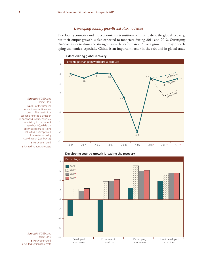## *Developing country growth will also moderate*

Developing countries and the economies in transition continue to drive the global recovery, but their output growth is also expected to moderate during 2011 and 2012. *Developing Asia* continues to show the strongest growth performance. Strong growth in major developing economies, especially China, is an important factor in the rebound in global trade



**Source:** UN/DESA and Project LINK. **Note:** For the baseline forecast assumptions, see box I.1. The pessimistic scenario refers to a situation of enhanced macroeconomic uncertainty in the outlook (see box I.4), while the optimistic scenario is one of limited, but improved, international policy coordination (see box I.5). **a** Partly estimated. **b** United Nations forecasts.





**Source:** UN/DESA and Project LINK. **a** Partly estimated. **b** United Nations forecasts.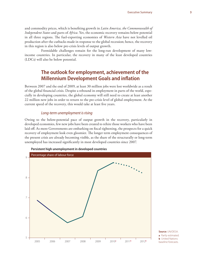and commodity prices, which is benefiting growth in *Latin America, the Commonwealth of Independent States* and parts of *Africa*. Yet, the economic recovery remains below potential in all three regions. The fuel-exporting economies of *Western Asia* have not levelled oil production after the cutbacks made in response to the global recession; hence, the recovery in this region is also below pre-crisis levels of output growth.

Formidable challenges remain for the long-run development of many lowincome countries. In particular, the recovery in many of the least developed countries (LDCs) will also be below potential.

# **The outlook for employment, achievement of the Millennium Development Goals and inflation**

Between 2007 and the end of 2009, at least 30 million jobs were lost worldwide as a result of the global financial crisis. Despite a rebound in employment in parts of the world, especially in developing countries, the global economy will still need to create at least another 22 million new jobs in order to return to the pre-crisis level of global employment. At the current speed of the recovery, this would take at least five years.

#### *Long-term unemployment is rising*

Owing to the below-potential pace of output growth in the recovery, particularly in developed economies, few new jobs have been created to rehire those workers who have been laid off. As more Governments are embarking on fiscal tightening, the prospects for a quick recovery of employment look even gloomier. The longer term employment consequences of the present crisis are already becoming visible, as the share of the structurally or long-term unemployed has increased significantly in most developed countries since 2007.



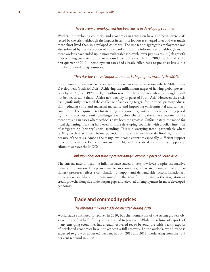#### *The recovery of employment has been faster in developing countries*

Workers in developing countries and economies in transition have also been severely affected by the crisis, although the impact in terms of job losses emerged later and was much more short-lived than in developed countries. The impact on aggregate employment was also softened by the absorption of many workers into the informal sector, although many more workers have ended up in more vulnerable jobs with lower pay as a result. Job growth in developing countries started to rebound from the second half of 2009; by the end of the first quarter of 2010, unemployment rates had already fallen back to pre-crisis levels in a number of developing countries.

#### *The crisis has caused important setbacks in progress towards the MDGs*

The economic downturn has caused important setbacks in progress towards the Millennium Development Goals (MDGs). Achieving the millennium target of halving global poverty rates by 2015 (from 1990 levels) is within reach for the world as a whole, although it will not be met in sub-Saharan Africa nor, possibly, in parts of South Asia. However, the crisis has significantly increased the challenge of achieving targets for universal primary education, reducing child and maternal mortality and improving environmental and sanitary conditions. The requirements for stepping up economic growth and social spending posed significant macroeconomic challenges even before the crisis; these have become all the more pressing in cases where setbacks have been the greatest. Unfortunately, the mood for fiscal tightening is taking hold even in those developing countries with a policy intention of safeguarding "priority" social spending. This is a worrying trend, particularly where GDP growth is still well below potential and tax revenues have declined significantly because of the crisis. Among the many low-income countries especially, sufficient support through official development assistance (ODA) will be critical for enabling stepped-up efforts to achieve the MDGs.

#### *Inflation does not pose a present danger, except in parts of South Asia*

The current rates of headline inflation have stayed at very low levels despite the massive monetary expansion. Except in some Asian economies, where increasingly strong inflationary pressures reflect a combination of supply and demand-side factors, inflationary expectations are likely to remain muted in the near future owing to the stagnation in credit growth, alongside wide output gaps and elevated unemployment in most developed economies.

# **Trade and commodity prices**

#### *The rebound in world trade decelerated during 2010*

World trade continued to recover in 2010, but the momentum of the strong growth observed in the first half of the year has started to peter out. While the volume of exports of many emerging economies has already recovered to, or beyond, pre-crisis peaks, exports of developed economies have not yet seen a full recovery. In the outlook, world trade is expected to grow by about 6.5 per cent in both 2011 and 2012, moderating from the 10.5 per cent rebound in 2010.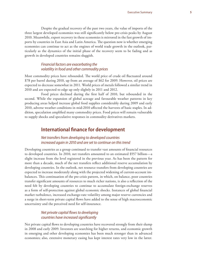Despite the gradual recovery of the past two years, the value of imports of the three largest developed economies was still significantly below pre-crisis peaks by August 2010. Meanwhile, export recovery in these economies is mirrored in the fast growth of imports by countries in East Asia and Latin America. The question now is whether emerging economies can continue to act as the engines of world trade growth in the outlook, particularly as the dynamics of the initial phase of the recovery seem to be fading and as growth in developed countries remains sluggish.

# *Financial factors are exacerbating the volatility in food and other commodity prices*

Most commodity prices have rebounded. The world price of crude oil fluctuated around \$78 per barrel during 2010, up from an average of \$62 for 2009. However, oil prices are expected to decrease somewhat in 2011. World prices of metals followed a similar trend in 2010 and are expected to edge up only slightly in 2011 and 2012.

Food prices declined during the first half of 2010, but rebounded in the second. While the expansion of global acreage and favourable weather patterns in key producing areas helped increase global food supplies considerably during 2009 and early 2010, adverse weather conditions in mid-2010 affected the harvests of basic staples. In addition, speculation amplified many commodity prices. Food prices will remain vulnerable to supply shocks and speculative responses in commodity derivatives markets.

# **International finance for development**

# *Net transfers from developing to developed countries increased again in 2010 and are set to continue on this trend*

Developing countries as a group continued to transfer vast amounts of financial resources to developed countries. In 2010, net transfers amounted to an estimated \$557 billion—a slight increase from the level registered in the previous year. As has been the pattern for more than a decade, much of the net transfers reflect additional reserve accumulation by developing countries. In the outlook, net resource transfers from developing countries are expected to increase moderately along with the projected widening of current-account imbalances. This continuation of the pre-crisis pattern, in which, on balance, poor countries transfer significant amounts of resources to much richer nations, is also a reflection of the need felt by developing countries to continue to accumulate foreign-exchange reserves as a form of self-protection against global economic shocks. Instances of global financial market turbulence, increased exchange-rate volatility among major reserve currencies and a surge in short-term private capital flows have added to the sense of high macroeconomic uncertainty and the perceived need for self-insurance.

# *Net private capital flows to developing countries have increased significantly*

Net private capital flows to developing countries have recovered strongly from their slump in 2008 and early 2009. Investors are searching for higher returns, and economic growth in emerging and other developing economies has been much stronger than in advanced economies; also, extensive monetary easing has kept interest rates very low in the latter.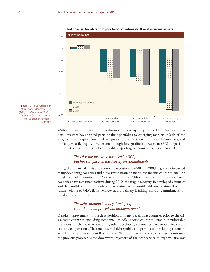

**Net financial transfers from poor to rich countries still flow at an increased rate**

**Source:** UN/DESA, based on International Monetary Fund (IMF), *World Economic Outlook Database*, October 2010 and IMF, Balance of Payments **Statistics** 

> With continued fragility and the substantial excess liquidity in developed financial markets, investors have shifted parts of their portfolios to emerging markets. Much of the surge in private capital flows to developing countries has taken the form of short-term, and probably volatile, equity investments, though foreign direct investment (FDI), especially in the extractive industries of commodity-exporting economies, has also increased.

# *The crisis has increased the need for ODA, but has complicated the delivery on commitments*

The global financial crisis and economic recession of 2008 and 2009 negatively impacted many developing countries and put a severe strain on many low-income countries, making the delivery of committed ODA even more critical. Although net transfers to low-income countries have remained positive during 2010, the fragile recovery in developed countries and the possible threat of a double-dip recession create considerable uncertainty about the future volume of ODA flows. Moreover, aid delivery is falling short of commitments by the donor community.

# *The debt situation in many developing countries has improved, but problems remain*

Despite improvements in the debt position of many developing countries prior to the crisis, some countries, including some small middle-income countries, remain in vulnerable situations. In the wake of the crisis, other developing economies have moved into more critical debt positions. The total external debt (public and private) of developing countries as a share of GDP rose to 24.8 per cent in 2009, an increase of 2.2 percentage points over the previous year, while the downward trajectory of the debt service-to-exports ratio was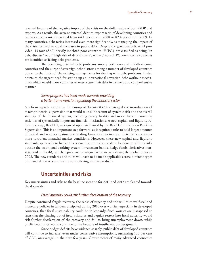reversed because of the negative impact of the crisis on the dollar value of both GDP and exports. As a result, the average external debt-to-export ratio of developing countries and transition economies increased from 64.1 per cent in 2008 to 82.4 per cent in 2009. In many countries, debt ratios increased even more significantly, as managing the impact of the crisis resulted in rapid increases in public debt. Despite the generous debt relief provided, 13 (out of 40) heavily indebted poor countries (HIPCs) are classified as being "in debt distress" or at "high risk of debt distress", while 7 non-HIPC low-income countries are identified as facing debt problems.

The persisting external debt problems among both low- and middle-income countries and the surge of sovereign debt distress among a number of developed countries points to the limits of the existing arrangements for dealing with debt problems. It also points to the urgent need for setting up an international sovereign debt workout mechanism which would allow countries to restructure their debt in a timely and comprehensive manner.

## *Some progress has been made towards providing a better framework for regulating the financial sector*

A reform agenda set out by the Group of Twenty (G20) envisaged the introduction of macroprudential supervision that would take due account of systemic risk and the overall stability of the financial system, including pro-cyclicality and moral hazard caused by activities of systemically important financial institutions. A new capital and liquidity reform package, Basel III, was agreed upon and issued by the Basel Committee on Banking Supervision. This is an important step forward, as it requires banks to hold larger amounts of capital and reserves against outstanding loans so as to increase their resilience under more turbulent financial market conditions. However, these new capital and liquidity standards apply only to banks. Consequently, more also needs to be done to address risks outside the traditional banking system (investment banks, hedge funds, derivatives markets, and so forth), which represented a major factor in generating the global crisis in 2008. The new standards and rules will have to be made applicable across different types of financial markets and institutions offering similar products.

# **Uncertainties and risks**

Key uncertainties and risks to the baseline scenario for 2011 and 2012 are slanted towards the downside.

## *Fiscal austerity could risk further deceleration of the recovery*

Despite continued fragile recovery, the sense of urgency and the will to move fiscal and monetary policies in tandem dissipated during 2010 over worries, especially in developed countries, that fiscal sustainability could be in jeopardy. Such worries are juxtaposed to fears that the phasing-out of fiscal stimulus and a quick retreat into fiscal austerity would risk further deceleration of the recovery and fail to bring unemployment down, while public debt ratios would continue to rise because of insufficient output growth.

Since budget deficits have widened sharply, public debt of developed countries will continue to increase, even under conservative assumptions, surpassing 100 per cent of GDP, on average, in the next few years. Governments of many advanced economies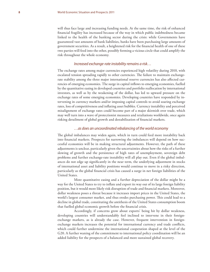will thus face large and increasing funding needs. At the same time, the risk of enhanced financial fragility has increased because of the way in which public indebtedness became linked to the health of the banking sector during the crisis: while Governments have guaranteed vast amounts of bank liabilities, banks have been purchasing large amounts of government securities. As a result, a heightened risk for the financial health of one of these two parties will feed into the other, possibly forming a vicious circle that could amplify the risk throughout the whole economy.

#### *Increased exchange-rate instability remains a risk…*

The exchange rates among major currencies experienced high volatility during 2010, with escalated tension spreading rapidly to other currencies. The failure to maintain exchangerate stability among the three major international reserve currencies has also affected currencies of emerging economies. The surge in capital inflows to emerging economies, fuelled by the quantitative easing in developed countries and portfolio reallocation by international investors, as well as by the weakening of the dollar, has led to upward pressure on the exchange rates of some emerging economies. Developing countries have responded by intervening in currency markets and/or imposing capital controls to avoid soaring exchange rates, loss of competitiveness and inflating asset bubbles. Currency instability and perceived misalignment of exchange rates could become part of a major skirmish over trade, which may well turn into a wave of protectionist measures and retaliations worldwide, once again risking derailment of global growth and destabilization of financial markets.

#### *…as does an uncoordinated rebalancing of the world economy*

The global imbalances may widen again, which in turn could feed more instability back into financial markets. Prospects for narrowing the imbalances will depend on how successful economies will be in making structural adjustments. However, the path of these adjustments is unclear, particularly given the uncertainties about how the risks of a further slowing of growth and the persistence of high rates of unemployment, sovereign debt problems and further exchange-rate instability will all play out. Even if the global imbalances do not edge up significantly in the near term, the underlying adjustment in stocks of international asset and liability positions would continue to move in a risky direction, particularly as the global financial crisis has caused a surge in net foreign liabilities of the United States.

More quantitative easing and a further depreciation of the dollar might be a way for the United States to try to inflate and export its way out of its large foreign liability position, but it would more likely risk disruption of trade and financial markets. Moreover, dollar weakness poses a threat because it increases import prices in the United States, the world's largest consumer market, and thus erodes purchasing power. This could lead to a decline in global trade, constituting the antithesis of the United States consumption boom that fuelled global economic growth before the financial crisis.

Accordingly, if concerns grow about exports' being hit by dollar weakness, developing countries will understandably feel inclined to intervene in their foreignexchange markets, as is already the case. However, frequent intervention in foreignexchange markets increases the potential for international currency and trade conflicts, which could further undermine the international cooperation shaped at the level of the G20. A further waning of the commitment to international policy coordination will be an added liability for the prospects of a balanced and more sustained global recovery.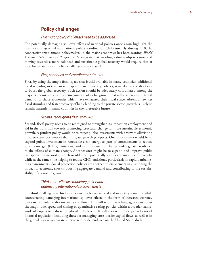# **Policy challenges**

#### *Five major policy challenges need to be addressed*

The potentially damaging spillover effects of national policies once again highlight the need for strengthened international policy coordination. Unfortunately, during 2010, the cooperative spirit among policymakers in the major economies has been waning. *World Economic Situation and Prospects 2011* suggests that avoiding a double-dip recession and moving towards a more balanced and sustainable global recovery would require that at least five related major policy challenges be addressed.

#### *First, continued and coordinated stimulus*

First, by using the ample fiscal space that is still available in many countries, additional fiscal stimulus, in tandem with appropriate monetary policies, is needed in the short run to boost the global recovery. Such action should be adequately coordinated among the major economies to ensure a reinvigoration of global growth that will also provide external demand for those economies which have exhausted their fiscal space. Absent a new net fiscal stimulus and faster recovery of bank lending to the private sector, growth is likely to remain anaemic in many countries in the foreseeable future.

## *Second, redesigning fiscal stimulus*

Second, fiscal policy needs to be redesigned to strengthen its impact on employment and aid in the transition towards promoting structural change for more sustainable economic growth. A prudent policy would be to target public investments with a view to alleviating infrastructure bottlenecks that mitigate growth prospects. One priority area would be to expand public investment in renewable clean energy as part of commitments to reduce greenhouse gas (GHG) emissions, and in infrastructure that provides greater resilience to the effects of climate change. Another area might be to expand and improve public transportation networks, which would create potentially significant amounts of new jobs while at the same time helping to reduce GHG emissions, particularly in rapidly urbanizing environments. Social protection policies are another crucial element in cushioning the impact of economic shocks, boosting aggregate demand and contributing to the sustainability of economic growth.

## *Third, more effective monetary policy and addressing international spillover effects*

The third challenge is to find greater synergy between fiscal and monetary stimulus, while counteracting damaging international spillover effects in the form of increased currency tensions and volatile short-term capital flows. This will require reaching agreement about the magnitude, speed and timing of quantitative easing policies within a broader framework of targets to redress the global imbalances. It will also require deeper reforms of financial regulation, including those for managing cross-border capital flows, as well as in the global reserve system in order to reduce dependence on the United States dollar.